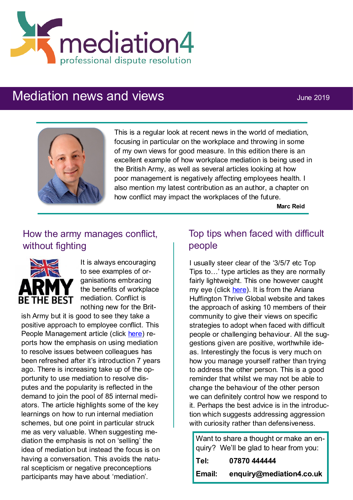

# Mediation news and views **Mediation** news and views



This is a regular look at recent news in the world of mediation, focusing in particular on the workplace and throwing in some of my own views for good measure. In this edition there is an excellent example of how workplace mediation is being used in the British Army, as well as several articles looking at how poor management is negatively affecting employees health. I also mention my latest contribution as an author, a chapter on how conflict may impact the workplaces of the future.

**Marc Reid**

# How the army manages conflict, without fighting



It is always encouraging to see examples of organisations embracing the benefits of workplace mediation. Conflict is nothing new for the Brit-

ish Army but it is good to see they take a positive approach to employee conflict. This People Management article (click [here\)](https://www.peoplemanagement.co.uk/voices/case-studies/how-armys-investment-dispute-resolution-helping-nip-problems-bud) reports how the emphasis on using mediation to resolve issues between colleagues has been refreshed after it's introduction 7 years ago. There is increasing take up of the opportunity to use mediation to resolve disputes and the popularity is reflected in the demand to join the pool of 85 internal mediators. The article highlights some of the key learnings on how to run internal mediation schemes, but one point in particular struck me as very valuable. When suggesting mediation the emphasis is not on 'selling' the idea of mediation but instead the focus is on having a conversation. This avoids the natural scepticism or negative preconceptions participants may have about 'mediation'.

### Top tips when faced with difficult people

I usually steer clear of the '3/5/7 etc Top Tips to…' type articles as they are normally fairly lightweight. This one however caught my eye (click [here\).](https://thriveglobal.com/stories/tips-how-to-deal-difficult-rude-people-negativity/) It is from the Ariana Huffington Thrive Global website and takes the approach of asking 10 members of their community to give their views on specific strategies to adopt when faced with difficult people or challenging behaviour. All the suggestions given are positive, worthwhile ideas. Interestingly the focus is very much on how you manage yourself rather than trying to address the other person. This is a good reminder that whilst we may not be able to change the behaviour of the other person we can definitely control how we respond to it. Perhaps the best advice is in the introduction which suggests addressing aggression with curiosity rather than defensiveness.

Want to share a thought or make an enquiry? We'll be glad to hear from you: **Tel: 07870 444444 Email: enquiry@mediation4.co.uk**